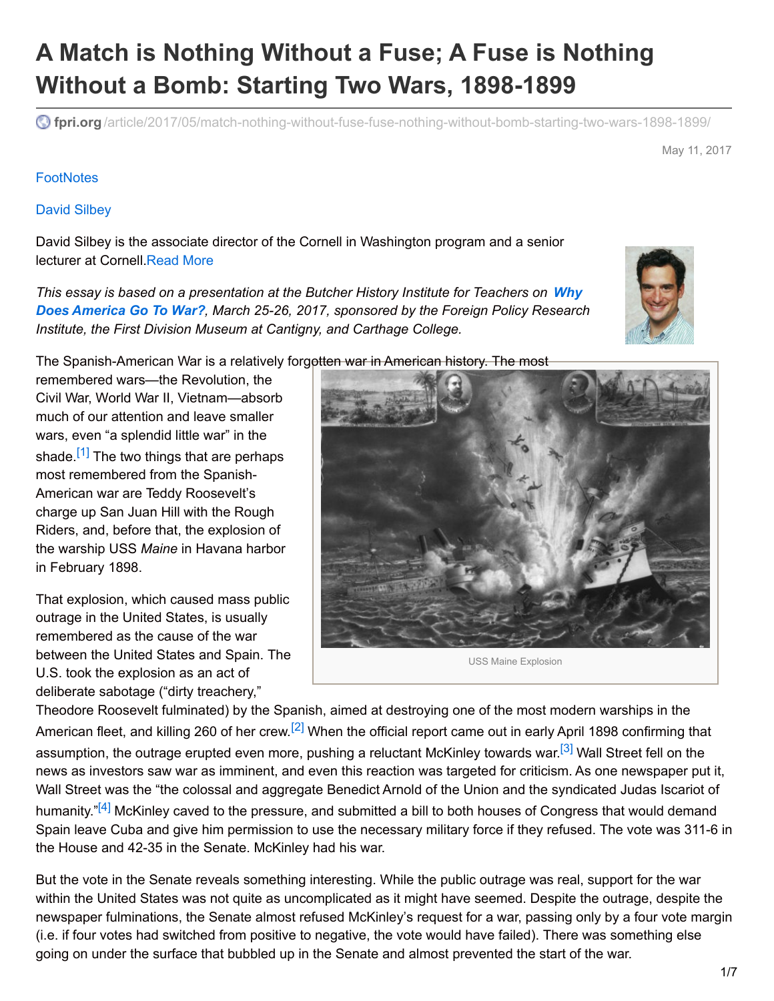# **A Match is Nothing Without a Fuse; A Fuse is Nothing Without a Bomb: Starting Two Wars, 1898-1899**

**fpri.org** [/article/2017/05/match-nothing-without-fuse-fuse-nothing-without-bomb-starting-two-wars-1898-1899/](https://www.fpri.org/article/2017/05/match-nothing-without-fuse-fuse-nothing-without-bomb-starting-two-wars-1898-1899/)

May 11, 2017

#### **[FootNotes](https://www.fpri.org/publications/footnotes)**

#### David [Silbey](https://www.fpri.org/contributor/david-silbey/)

David Silbey is the associate director of the Cornell in Washington program and a senior lecturer at Cornell[.Read](https://www.fpri.org/contributor/david-silbey/) More

*This essay is based on a [presentation](http://www.fpri.org/conference/america-go-war/) at the Butcher History Institute for Teachers on Why Does America Go To War?, March 25-26, 2017, sponsored by the Foreign Policy Research Institute, the First Division Museum at Cantigny, and Carthage College.*

The Spanish-American War is a relatively forgotten war in American history. The most remembered wars—the Revolution, the

<span id="page-0-0"></span>Civil War, World War II, Vietnam—absorb much of our attention and leave smaller wars, even "a splendid little war" in the shade.<sup>[\[1\]](#page-5-0)</sup> The two things that are perhaps most remembered from the Spanish-American war are Teddy Roosevelt's charge up San Juan Hill with the Rough Riders, and, before that, the explosion of the warship USS *Maine* in Havana harbor in February 1898.

That explosion, which caused mass public outrage in the United States, is usually remembered as the cause of the war between the United States and Spain. The U.S. took the explosion as an act of deliberate sabotage ("dirty treachery,"

Theodore Roosevelt fulminated) by the Spanish, aimed at destroying one of the most modern warships in the American fleet, and killing 260 of her crew.<sup>[\[2\]](#page-5-1)</sup> When the official report came out in early April 1898 confirming that assumption, the outrage erupted even more, pushing a reluctant McKinley towards war.<sup>[\[3\]](#page-5-2)</sup> Wall Street fell on the news as investors saw war as imminent, and even this reaction was targeted for criticism. As one newspaper put it, Wall Street was the "the colossal and aggregate Benedict Arnold of the Union and the syndicated Judas Iscariot of humanity."<sup>[\[4\]](#page-5-3)</sup> McKinley caved to the pressure, and submitted a bill to both houses of Congress that would demand Spain leave Cuba and give him permission to use the necessary military force if they refused. The vote was 311-6 in the House and 42-35 in the Senate. McKinley had his war.

<span id="page-0-3"></span>But the vote in the Senate reveals something interesting. While the public outrage was real, support for the war within the United States was not quite as uncomplicated as it might have seemed. Despite the outrage, despite the newspaper fulminations, the Senate almost refused McKinley's request for a war, passing only by a four vote margin (i.e. if four votes had switched from positive to negative, the vote would have failed). There was something else going on under the surface that bubbled up in the Senate and almost prevented the start of the war.



<span id="page-0-2"></span><span id="page-0-1"></span>USS Maine Explosion

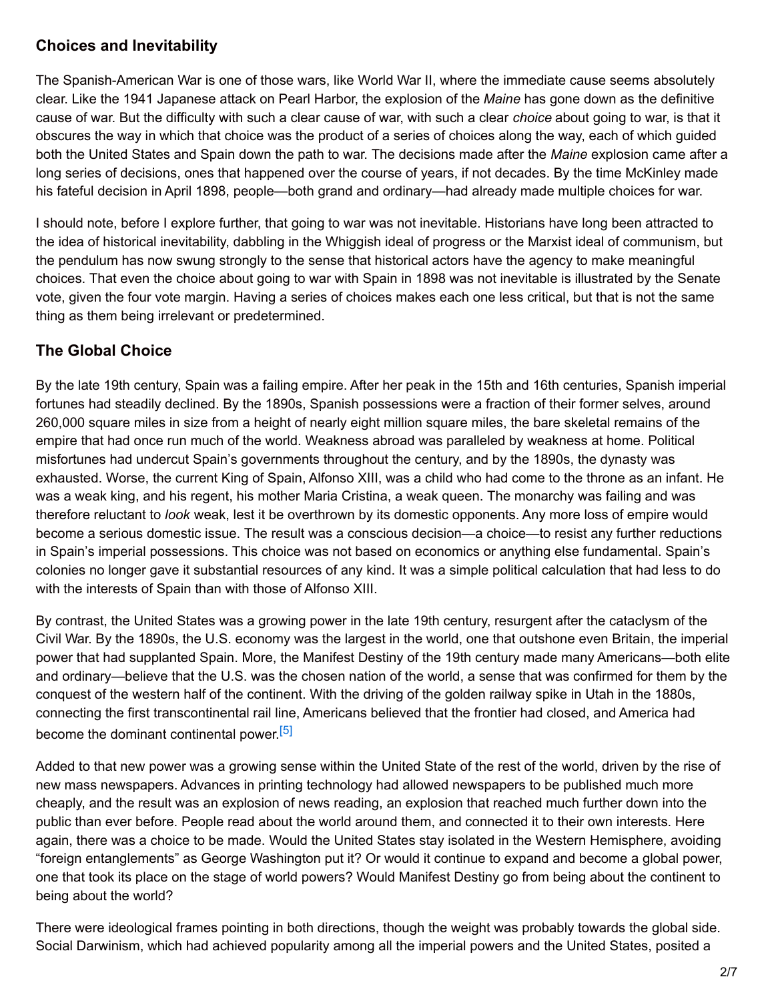### **Choices and Inevitability**

The Spanish-American War is one of those wars, like World War II, where the immediate cause seems absolutely clear. Like the 1941 Japanese attack on Pearl Harbor, the explosion of the *Maine* has gone down as the definitive cause of war. But the difficulty with such a clear cause of war, with such a clear *choice* about going to war, is that it obscures the way in which that choice was the product of a series of choices along the way, each of which guided both the United States and Spain down the path to war. The decisions made after the *Maine* explosion came after a long series of decisions, ones that happened over the course of years, if not decades. By the time McKinley made his fateful decision in April 1898, people—both grand and ordinary—had already made multiple choices for war.

I should note, before I explore further, that going to war was not inevitable. Historians have long been attracted to the idea of historical inevitability, dabbling in the Whiggish ideal of progress or the Marxist ideal of communism, but the pendulum has now swung strongly to the sense that historical actors have the agency to make meaningful choices. That even the choice about going to war with Spain in 1898 was not inevitable is illustrated by the Senate vote, given the four vote margin. Having a series of choices makes each one less critical, but that is not the same thing as them being irrelevant or predetermined.

## **The Global Choice**

By the late 19th century, Spain was a failing empire. After her peak in the 15th and 16th centuries, Spanish imperial fortunes had steadily declined. By the 1890s, Spanish possessions were a fraction of their former selves, around 260,000 square miles in size from a height of nearly eight million square miles, the bare skeletal remains of the empire that had once run much of the world. Weakness abroad was paralleled by weakness at home. Political misfortunes had undercut Spain's governments throughout the century, and by the 1890s, the dynasty was exhausted. Worse, the current King of Spain, Alfonso XIII, was a child who had come to the throne as an infant. He was a weak king, and his regent, his mother Maria Cristina, a weak queen. The monarchy was failing and was therefore reluctant to *look* weak, lest it be overthrown by its domestic opponents. Any more loss of empire would become a serious domestic issue. The result was a conscious decision—a choice—to resist any further reductions in Spain's imperial possessions. This choice was not based on economics or anything else fundamental. Spain's colonies no longer gave it substantial resources of any kind. It was a simple political calculation that had less to do with the interests of Spain than with those of Alfonso XIII.

By contrast, the United States was a growing power in the late 19th century, resurgent after the cataclysm of the Civil War. By the 1890s, the U.S. economy was the largest in the world, one that outshone even Britain, the imperial power that had supplanted Spain. More, the Manifest Destiny of the 19th century made many Americans—both elite and ordinary—believe that the U.S. was the chosen nation of the world, a sense that was confirmed for them by the conquest of the western half of the continent. With the driving of the golden railway spike in Utah in the 1880s, connecting the first transcontinental rail line, Americans believed that the frontier had closed, and America had become the dominant continental power.<sup>[\[5\]](#page-5-4)</sup>

<span id="page-1-0"></span>Added to that new power was a growing sense within the United State of the rest of the world, driven by the rise of new mass newspapers. Advances in printing technology had allowed newspapers to be published much more cheaply, and the result was an explosion of news reading, an explosion that reached much further down into the public than ever before. People read about the world around them, and connected it to their own interests. Here again, there was a choice to be made. Would the United States stay isolated in the Western Hemisphere, avoiding "foreign entanglements" as George Washington put it? Or would it continue to expand and become a global power, one that took its place on the stage of world powers? Would Manifest Destiny go from being about the continent to being about the world?

There were ideological frames pointing in both directions, though the weight was probably towards the global side. Social Darwinism, which had achieved popularity among all the imperial powers and the United States, posited a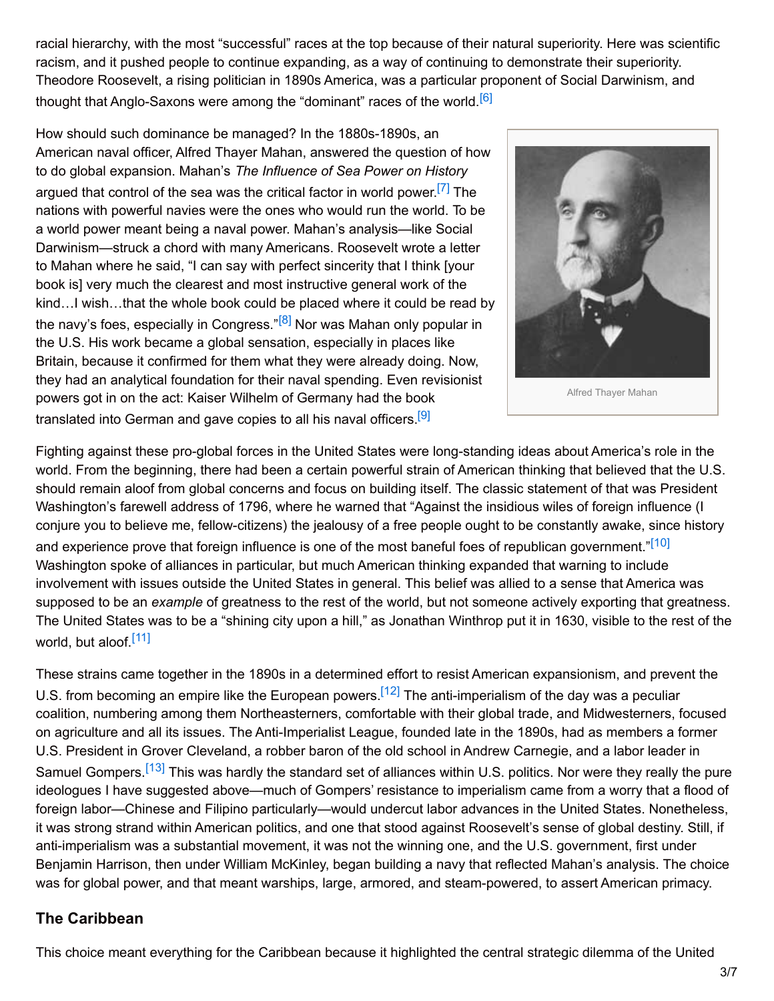racial hierarchy, with the most "successful" races at the top because of their natural superiority. Here was scientific racism, and it pushed people to continue expanding, as a way of continuing to demonstrate their superiority. Theodore Roosevelt, a rising politician in 1890s America, was a particular proponent of Social Darwinism, and thought that Anglo-Saxons were among the "dominant" races of the world.<sup>[\[6\]](#page-5-5)</sup>

How should such dominance be managed? In the 1880s-1890s, an American naval officer, Alfred Thayer Mahan, answered the question of how to do global expansion. Mahan's *The Influence of Sea Power on History* argued that control of the sea was the critical factor in world power.<sup>[\[7\]](#page-5-6)</sup> The nations with powerful navies were the ones who would run the world. To be a world power meant being a naval power. Mahan's analysis—like Social Darwinism—struck a chord with many Americans. Roosevelt wrote a letter to Mahan where he said, "I can say with perfect sincerity that I think [your book is] very much the clearest and most instructive general work of the kind…I wish…that the whole book could be placed where it could be read by the navy's foes, especially in Congress."<sup>[\[8\]](#page-5-7)</sup> Nor was Mahan only popular in the U.S. His work became a global sensation, especially in places like Britain, because it confirmed for them what they were already doing. Now, they had an analytical foundation for their naval spending. Even revisionist powers got in on the act: Kaiser Wilhelm of Germany had the book translated into German and gave copies to all his naval officers.<sup>[\[9\]](#page-5-8)</sup>

<span id="page-2-4"></span><span id="page-2-3"></span><span id="page-2-1"></span><span id="page-2-0"></span>

Alfred Thayer Mahan

<span id="page-2-2"></span>Fighting against these pro-global forces in the United States were long-standing ideas about America's role in the world. From the beginning, there had been a certain powerful strain of American thinking that believed that the U.S. should remain aloof from global concerns and focus on building itself. The classic statement of that was President Washington's farewell address of 1796, where he warned that "Against the insidious wiles of foreign influence (I conjure you to believe me, fellow-citizens) the jealousy of a free people ought to be constantly awake, since history and experience prove that foreign influence is one of the most baneful foes of republican government."<sup>[\[10\]](#page-5-9)</sup> Washington spoke of alliances in particular, but much American thinking expanded that warning to include involvement with issues outside the United States in general. This belief was allied to a sense that America was supposed to be an *example* of greatness to the rest of the world, but not someone actively exporting that greatness. The United States was to be a "shining city upon a hill," as Jonathan Winthrop put it in 1630, visible to the rest of the world, but aloof.<sup>[\[11\]](#page-5-10)</sup>

<span id="page-2-7"></span><span id="page-2-6"></span><span id="page-2-5"></span>These strains came together in the 1890s in a determined effort to resist American expansionism, and prevent the U.S. from becoming an empire like the European powers.<sup>[\[12\]](#page-6-0)</sup> The anti-imperialism of the day was a peculiar coalition, numbering among them Northeasterners, comfortable with their global trade, and Midwesterners, focused on agriculture and all its issues. The Anti-Imperialist League, founded late in the 1890s, had as members a former U.S. President in Grover Cleveland, a robber baron of the old school in Andrew Carnegie, and a labor leader in Samuel Gompers.<sup>[\[13\]](#page-6-1)</sup> This was hardly the standard set of alliances within U.S. politics. Nor were they really the pure ideologues I have suggested above—much of Gompers' resistance to imperialism came from a worry that a flood of foreign labor—Chinese and Filipino particularly—would undercut labor advances in the United States. Nonetheless, it was strong strand within American politics, and one that stood against Roosevelt's sense of global destiny. Still, if anti-imperialism was a substantial movement, it was not the winning one, and the U.S. government, first under Benjamin Harrison, then under William McKinley, began building a navy that reflected Mahan's analysis. The choice was for global power, and that meant warships, large, armored, and steam-powered, to assert American primacy.

#### **The Caribbean**

This choice meant everything for the Caribbean because it highlighted the central strategic dilemma of the United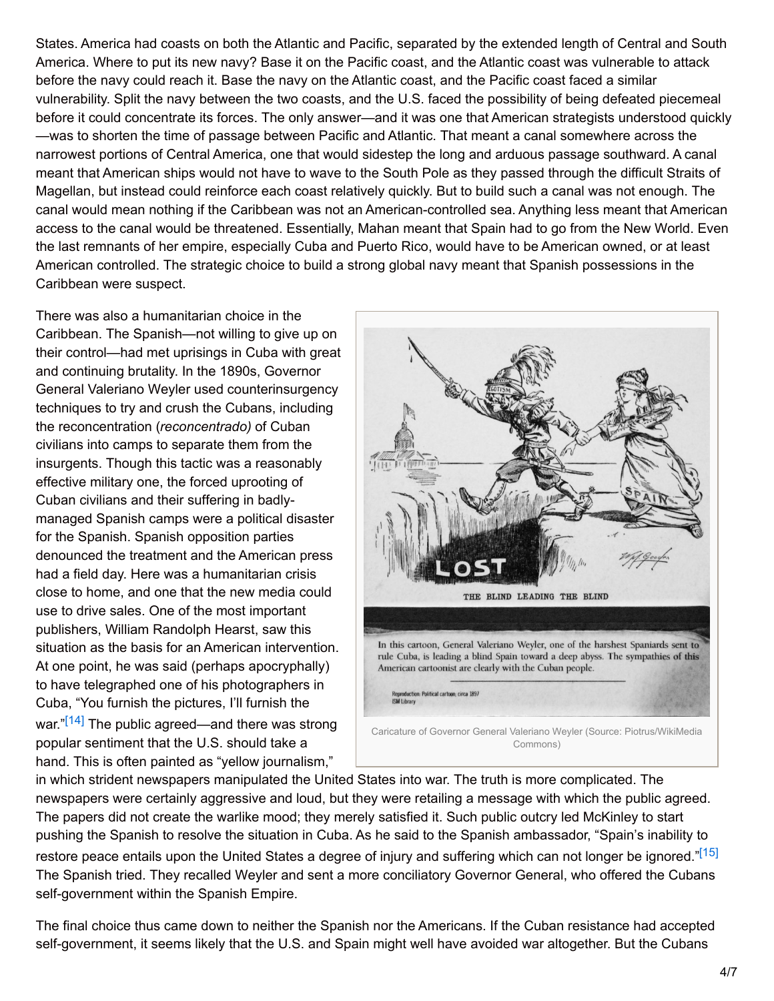States. America had coasts on both the Atlantic and Pacific, separated by the extended length of Central and South America. Where to put its new navy? Base it on the Pacific coast, and the Atlantic coast was vulnerable to attack before the navy could reach it. Base the navy on the Atlantic coast, and the Pacific coast faced a similar vulnerability. Split the navy between the two coasts, and the U.S. faced the possibility of being defeated piecemeal before it could concentrate its forces. The only answer—and it was one that American strategists understood quickly —was to shorten the time of passage between Pacific and Atlantic. That meant a canal somewhere across the narrowest portions of Central America, one that would sidestep the long and arduous passage southward. A canal meant that American ships would not have to wave to the South Pole as they passed through the difficult Straits of Magellan, but instead could reinforce each coast relatively quickly. But to build such a canal was not enough. The canal would mean nothing if the Caribbean was not an American-controlled sea. Anything less meant that American access to the canal would be threatened. Essentially, Mahan meant that Spain had to go from the New World. Even the last remnants of her empire, especially Cuba and Puerto Rico, would have to be American owned, or at least American controlled. The strategic choice to build a strong global navy meant that Spanish possessions in the Caribbean were suspect.

There was also a humanitarian choice in the Caribbean. The Spanish—not willing to give up on their control—had met uprisings in Cuba with great and continuing brutality. In the 1890s, Governor General Valeriano Weyler used counterinsurgency techniques to try and crush the Cubans, including the reconcentration (*reconcentrado)* of Cuban civilians into camps to separate them from the insurgents. Though this tactic was a reasonably effective military one, the forced uprooting of Cuban civilians and their suffering in badlymanaged Spanish camps were a political disaster for the Spanish. Spanish opposition parties denounced the treatment and the American press had a field day. Here was a humanitarian crisis close to home, and one that the new media could use to drive sales. One of the most important publishers, William Randolph Hearst, saw this situation as the basis for an American intervention. At one point, he was said (perhaps apocryphally) to have telegraphed one of his photographers in Cuba, "You furnish the pictures, I'll furnish the war."<sup>[\[14\]](#page-6-2)</sup> The public agreed—and there was strong popular sentiment that the U.S. should take a hand. This is often painted as "yellow journalism,"

<span id="page-3-1"></span>

<span id="page-3-0"></span>in which strident newspapers manipulated the United States into war. The truth is more complicated. The newspapers were certainly aggressive and loud, but they were retailing a message with which the public agreed. The papers did not create the warlike mood; they merely satisfied it. Such public outcry led McKinley to start pushing the Spanish to resolve the situation in Cuba. As he said to the Spanish ambassador, "Spain's inability to restore peace entails upon the United States a degree of injury and suffering which can not longer be ignored."<sup>[\[15\]](#page-6-3)</sup> The Spanish tried. They recalled Weyler and sent a more conciliatory Governor General, who offered the Cubans self-government within the Spanish Empire.

The final choice thus came down to neither the Spanish nor the Americans. If the Cuban resistance had accepted self-government, it seems likely that the U.S. and Spain might well have avoided war altogether. But the Cubans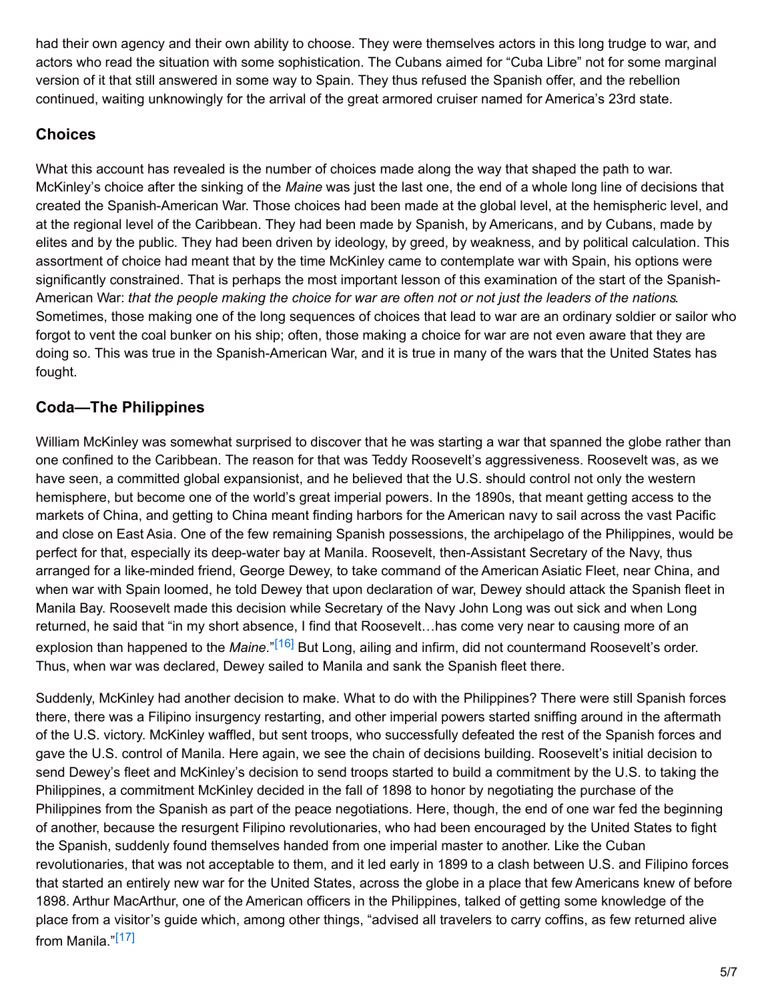had their own agency and their own ability to choose. They were themselves actors in this long trudge to war, and actors who read the situation with some sophistication. The Cubans aimed for "Cuba Libre" not for some marginal version of it that still answered in some way to Spain. They thus refused the Spanish offer, and the rebellion continued, waiting unknowingly for the arrival of the great armored cruiser named for America's 23rd state.

## **Choices**

What this account has revealed is the number of choices made along the way that shaped the path to war. McKinley's choice after the sinking of the *Maine* was just the last one, the end of a whole long line of decisions that created the Spanish-American War. Those choices had been made at the global level, at the hemispheric level, and at the regional level of the Caribbean. They had been made by Spanish, by Americans, and by Cubans, made by elites and by the public. They had been driven by ideology, by greed, by weakness, and by political calculation. This assortment of choice had meant that by the time McKinley came to contemplate war with Spain, his options were significantly constrained. That is perhaps the most important lesson of this examination of the start of the Spanish-American War: that the people making the choice for war are often not or not just the leaders of the nations. Sometimes, those making one of the long sequences of choices that lead to war are an ordinary soldier or sailor who forgot to vent the coal bunker on his ship; often, those making a choice for war are not even aware that they are doing so. This was true in the Spanish-American War, and it is true in many of the wars that the United States has fought.

# **Coda—The Philippines**

William McKinley was somewhat surprised to discover that he was starting a war that spanned the globe rather than one confined to the Caribbean. The reason for that was Teddy Roosevelt's aggressiveness. Roosevelt was, as we have seen, a committed global expansionist, and he believed that the U.S. should control not only the western hemisphere, but become one of the world's great imperial powers. In the 1890s, that meant getting access to the markets of China, and getting to China meant finding harbors for the American navy to sail across the vast Pacific and close on East Asia. One of the few remaining Spanish possessions, the archipelago of the Philippines, would be perfect for that, especially its deep-water bay at Manila. Roosevelt, then-Assistant Secretary of the Navy, thus arranged for a like-minded friend, George Dewey, to take command of the American Asiatic Fleet, near China, and when war with Spain loomed, he told Dewey that upon declaration of war, Dewey should attack the Spanish fleet in Manila Bay. Roosevelt made this decision while Secretary of the Navy John Long was out sick and when Long returned, he said that "in my short absence, I find that Roosevelt…has come very near to causing more of an explosion than happened to the *Maine.*" [\[16\]](#page-6-4) But Long, ailing and infirm, did not countermand Roosevelt's order. Thus, when war was declared, Dewey sailed to Manila and sank the Spanish fleet there.

<span id="page-4-1"></span><span id="page-4-0"></span>Suddenly, McKinley had another decision to make. What to do with the Philippines? There were still Spanish forces there, there was a Filipino insurgency restarting, and other imperial powers started sniffing around in the aftermath of the U.S. victory. McKinley waffled, but sent troops, who successfully defeated the rest of the Spanish forces and gave the U.S. control of Manila. Here again, we see the chain of decisions building. Roosevelt's initial decision to send Dewey's fleet and McKinley's decision to send troops started to build a commitment by the U.S. to taking the Philippines, a commitment McKinley decided in the fall of 1898 to honor by negotiating the purchase of the Philippines from the Spanish as part of the peace negotiations. Here, though, the end of one war fed the beginning of another, because the resurgent Filipino revolutionaries, who had been encouraged by the United States to fight the Spanish, suddenly found themselves handed from one imperial master to another. Like the Cuban revolutionaries, that was not acceptable to them, and it led early in 1899 to a clash between U.S. and Filipino forces that started an entirely new war for the United States, across the globe in a place that few Americans knew of before 1898. Arthur MacArthur, one of the American officers in the Philippines, talked of getting some knowledge of the place from a visitor's guide which, among other things, "advised all travelers to carry coffins, as few returned alive from Manila."<sup>[\[17\]](#page-6-5)</sup>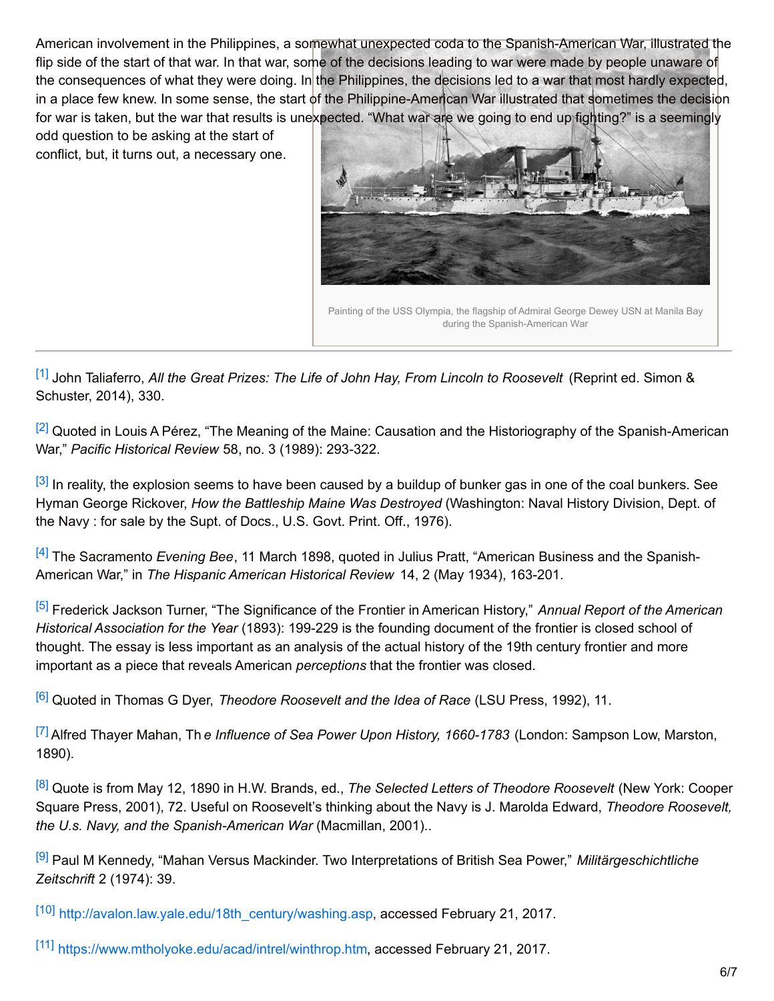American involvement in the Philippines, a somewhat unexpected coda to the Spanish-American War, illustrated the flip side of the start of that war. In that war, some of the decisions leading to war were made by people unaware of the consequences of what they were doing. In the Philippines, the decisions led to a war that most hardly expected, in a place few knew. In some sense, the start of the Philippine-American War illustrated that sometimes the decision for war is taken, but the war that results is unexpected. "What war are we going to end up fighting?" is a seemingly

odd question to be asking at the start of conflict, but, it turns out, a necessary one.



<span id="page-5-0"></span>[\[1\]](#page-0-0) John Taliaferro, *All the Great Prizes: The Life of John Hay, From Lincoln to Roosevelt* (Reprint ed. Simon & Schuster, 2014), 330.

<span id="page-5-1"></span><sup>[\[2\]](#page-0-1)</sup> Quoted in Louis A Pérez, "The Meaning of the Maine: Causation and the Historiography of the Spanish-American War," *Pacific Historical Review* 58, no. 3 (1989): 293-322.

<span id="page-5-2"></span><sup>[\[3\]](#page-0-2)</sup> In reality, the explosion seems to have been caused by a buildup of bunker gas in one of the coal bunkers. See Hyman George Rickover, *How the Battleship Maine Was Destroyed* (Washington: Naval History Division, Dept. of the Navy : for sale by the Supt. of Docs., U.S. Govt. Print. Off., 1976).

<span id="page-5-3"></span>[\[4\]](#page-0-3) The Sacramento *Evening Bee*, 11 March 1898, quoted in Julius Pratt, "American Business and the Spanish-American War," in *The Hispanic American Historical Review* 14, 2 (May 1934), 163-201.

<span id="page-5-4"></span>[\[5\]](#page-1-0) Frederick Jackson Turner, "The Significance of the Frontier in American History," *Annual Report of the American Historical Association for the Year* (1893): 199-229 is the founding document of the frontier is closed school of thought. The essay is less important as an analysis of the actual history of the 19th century frontier and more important as a piece that reveals American *perceptions* that the frontier was closed.

<span id="page-5-5"></span>[\[6\]](#page-2-0) Quoted in Thomas G Dyer, *Theodore Roosevelt and the Idea of Race* (LSU Press, 1992), 11.

<span id="page-5-6"></span>[\[7\]](#page-2-1) Alfred Thayer Mahan, Th *e Influence of Sea Power Upon History, 1660-1783* (London: Sampson Low, Marston, 1890).

<span id="page-5-7"></span>[\[8\]](#page-2-2) Quote is from May 12, 1890 in H.W. Brands, ed., *The Selected Letters of Theodore Roosevelt* (New York: Cooper Square Press, 2001), 72. Useful on Roosevelt's thinking about the Navy is J. Marolda Edward, *Theodore Roosevelt, the U.s. Navy, and the Spanish-American War* (Macmillan, 2001)..

<span id="page-5-8"></span>[\[9\]](#page-2-3) Paul M Kennedy, "Mahan Versus Mackinder. Two Interpretations of British Sea Power," *Militärgeschichtliche Zeitschrift* 2 (1974): 39.

<span id="page-5-9"></span>[\[10\]](#page-2-4) [http://avalon.law.yale.edu/18th\\_century/washing.asp](http://avalon.law.yale.edu/18th_century/washing.asp), accessed February 21, 2017.

<span id="page-5-10"></span>[\[11\]](#page-2-5) <https://www.mtholyoke.edu/acad/intrel/winthrop.htm>, accessed February 21, 2017.